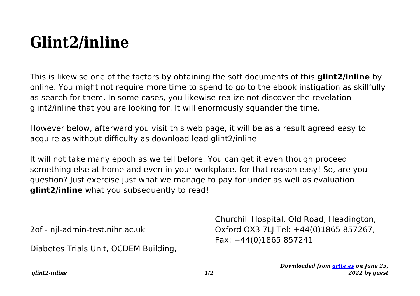## **Glint2/inline**

This is likewise one of the factors by obtaining the soft documents of this **glint2/inline** by online. You might not require more time to spend to go to the ebook instigation as skillfully as search for them. In some cases, you likewise realize not discover the revelation glint2/inline that you are looking for. It will enormously squander the time.

However below, afterward you visit this web page, it will be as a result agreed easy to acquire as without difficulty as download lead glint2/inline

It will not take many epoch as we tell before. You can get it even though proceed something else at home and even in your workplace. for that reason easy! So, are you question? Just exercise just what we manage to pay for under as well as evaluation **glint2/inline** what you subsequently to read!

2of - njl-admin-test.nihr.ac.uk

Diabetes Trials Unit, OCDEM Building,

Churchill Hospital, Old Road, Headington, Oxford OX3 7LJ Tel: +44(0)1865 857267, Fax: +44(0)1865 857241

> *Downloaded from [artte.es](https://artte.es) on June 25, 2022 by guest*